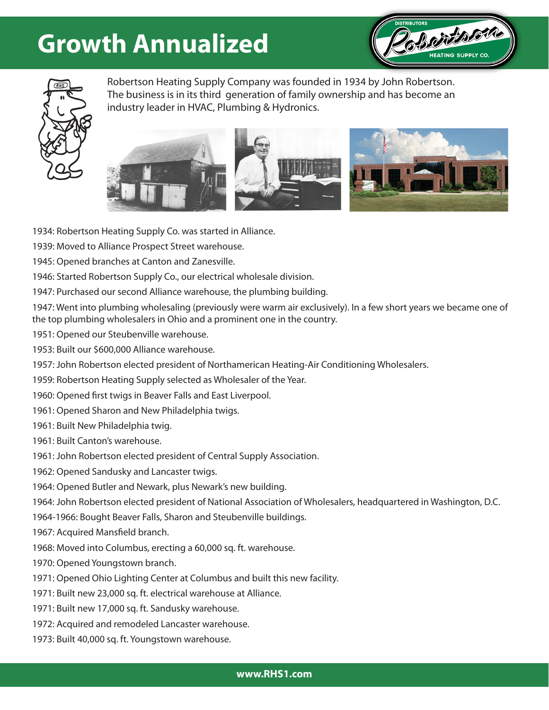## **Growth Annualized**





Robertson Heating Supply Company was founded in 1934 by John Robertson. The business is in its third generation of family ownership and has become an industry leader in HVAC, Plumbing & Hydronics.



1934: Robertson Heating Supply Co. was started in Alliance.

1939: Moved to Alliance Prospect Street warehouse.

1945: Opened branches at Canton and Zanesville.

1946: Started Robertson Supply Co., our electrical wholesale division.

1947: Purchased our second Alliance warehouse, the plumbing building.

1947: Went into plumbing wholesaling (previously were warm air exclusively). In a few short years we became one of the top plumbing wholesalers in Ohio and a prominent one in the country.

1951: Opened our Steubenville warehouse.

1953: Built our \$600,000 Alliance warehouse.

1957: John Robertson elected president of Northamerican Heating-Air Conditioning Wholesalers.

1959: Robertson Heating Supply selected as Wholesaler of the Year.

1960: Opened first twigs in Beaver Falls and East Liverpool.

1961: Opened Sharon and New Philadelphia twigs.

1961: Built New Philadelphia twig.

1961: Built Canton's warehouse.

1961: John Robertson elected president of Central Supply Association.

1962: Opened Sandusky and Lancaster twigs.

1964: Opened Butler and Newark, plus Newark's new building.

1964: John Robertson elected president of National Association of Wholesalers, headquartered in Washington, D.C.

1964-1966: Bought Beaver Falls, Sharon and Steubenville buildings.

1967: Acquired Mansfield branch.

1968: Moved into Columbus, erecting a 60,000 sq. ft. warehouse.

1970: Opened Youngstown branch.

1971: Opened Ohio Lighting Center at Columbus and built this new facility.

1971: Built new 23,000 sq. ft. electrical warehouse at Alliance.

1971: Built new 17,000 sq. ft. Sandusky warehouse.

1972: Acquired and remodeled Lancaster warehouse.

1973: Built 40,000 sq. ft. Youngstown warehouse.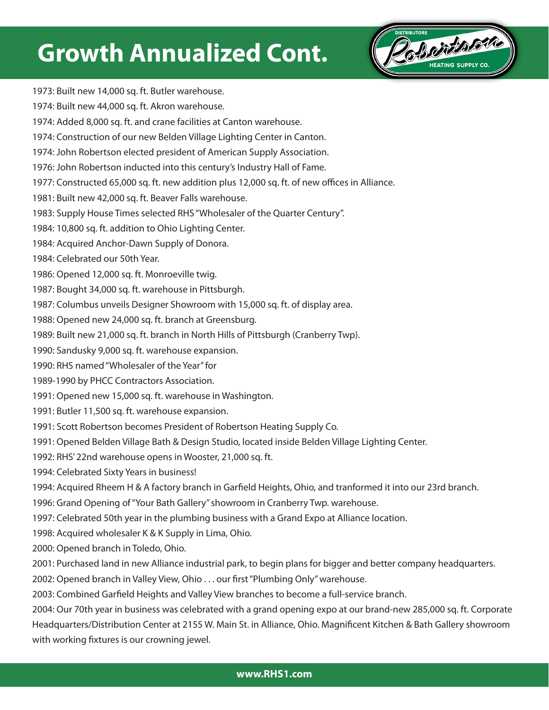## **Growth Annualized Cont.**



1973: Built new 14,000 sq. ft. Butler warehouse.

- 1974: Built new 44,000 sq. ft. Akron warehouse.
- 1974: Added 8,000 sq. ft. and crane facilities at Canton warehouse.
- 1974: Construction of our new Belden Village Lighting Center in Canton.
- 1974: John Robertson elected president of American Supply Association.
- 1976: John Robertson inducted into this century's Industry Hall of Fame.
- 1977: Constructed 65,000 sq. ft. new addition plus 12,000 sq. ft. of new offices in Alliance.
- 1981: Built new 42,000 sq. ft. Beaver Falls warehouse.
- 1983: Supply House Times selected RHS "Wholesaler of the Quarter Century".
- 1984: 10,800 sq. ft. addition to Ohio Lighting Center.
- 1984: Acquired Anchor-Dawn Supply of Donora.
- 1984: Celebrated our 50th Year.
- 1986: Opened 12,000 sq. ft. Monroeville twig.
- 1987: Bought 34,000 sq. ft. warehouse in Pittsburgh.
- 1987: Columbus unveils Designer Showroom with 15,000 sq. ft. of display area.
- 1988: Opened new 24,000 sq. ft. branch at Greensburg.
- 1989: Built new 21,000 sq. ft. branch in North Hills of Pittsburgh (Cranberry Twp).
- 1990: Sandusky 9,000 sq. ft. warehouse expansion.
- 1990: RHS named "Wholesaler of the Year" for
- 1989-1990 by PHCC Contractors Association.
- 1991: Opened new 15,000 sq. ft. warehouse in Washington.
- 1991: Butler 11,500 sq. ft. warehouse expansion.
- 1991: Scott Robertson becomes President of Robertson Heating Supply Co.
- 1991: Opened Belden Village Bath & Design Studio, located inside Belden Village Lighting Center.
- 1992: RHS' 22nd warehouse opens in Wooster, 21,000 sq. ft.
- 1994: Celebrated Sixty Years in business!
- 1994: Acquired Rheem H & A factory branch in Garfield Heights, Ohio, and tranformed it into our 23rd branch.
- 1996: Grand Opening of "Your Bath Gallery" showroom in Cranberry Twp. warehouse.
- 1997: Celebrated 50th year in the plumbing business with a Grand Expo at Alliance location.
- 1998: Acquired wholesaler K & K Supply in Lima, Ohio.
- 2000: Opened branch in Toledo, Ohio.
- 2001: Purchased land in new Alliance industrial park, to begin plans for bigger and better company headquarters.
- 2002: Opened branch in Valley View, Ohio . . . our first "Plumbing Only" warehouse.
- 2003: Combined Garfield Heights and Valley View branches to become a full-service branch.

2004: Our 70th year in business was celebrated with a grand opening expo at our brand-new 285,000 sq. ft. Corporate Headquarters/Distribution Center at 2155 W. Main St. in Alliance, Ohio. Magnificent Kitchen & Bath Gallery showroom with working fixtures is our crowning jewel.